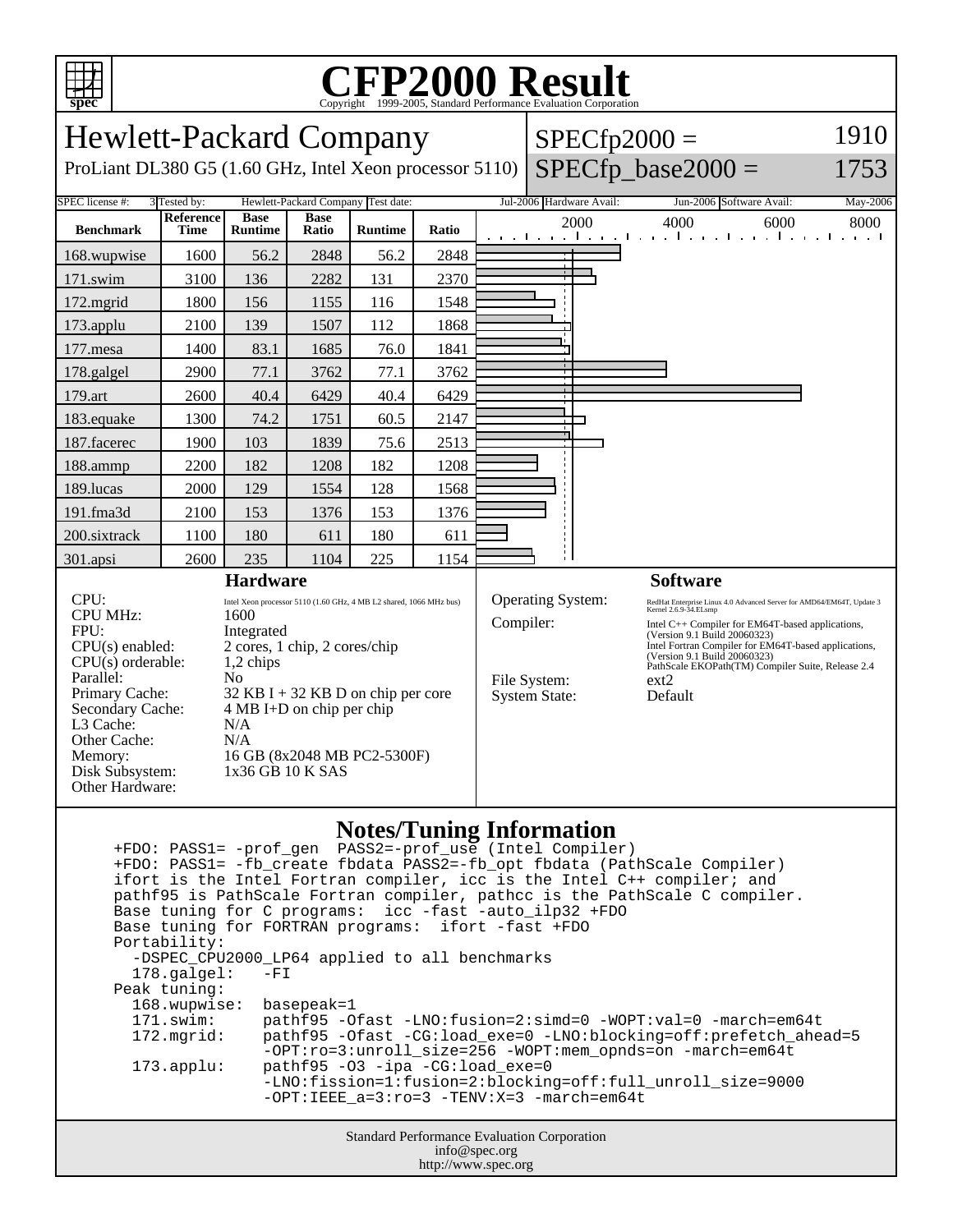

## **CFP2000 Result** Copyright ©1999-2005, Standard Performance Evaluation Corporation

| <b>Hewlett-Packard Company</b>                                                                                                                                                                               |                                 |                                                                                                                                                                                                                                                                                                |                      |         |       |  |                                                                               |                                     | $SPECfp2000 =$                                                                                                                                                                                                                                                                                                                                         | 1910                                                                                                                          |
|--------------------------------------------------------------------------------------------------------------------------------------------------------------------------------------------------------------|---------------------------------|------------------------------------------------------------------------------------------------------------------------------------------------------------------------------------------------------------------------------------------------------------------------------------------------|----------------------|---------|-------|--|-------------------------------------------------------------------------------|-------------------------------------|--------------------------------------------------------------------------------------------------------------------------------------------------------------------------------------------------------------------------------------------------------------------------------------------------------------------------------------------------------|-------------------------------------------------------------------------------------------------------------------------------|
| ProLiant DL380 G5 (1.60 GHz, Intel Xeon processor 5110)                                                                                                                                                      |                                 |                                                                                                                                                                                                                                                                                                |                      |         |       |  |                                                                               | $SPECfp\_base2000 =$                | 1753                                                                                                                                                                                                                                                                                                                                                   |                                                                                                                               |
| SPEC license #:<br>Hewlett-Packard Company Test date:<br>3 Tested by:                                                                                                                                        |                                 |                                                                                                                                                                                                                                                                                                |                      |         |       |  |                                                                               | Jul-2006 Hardware Avail:            | Jun-2006 Software Avail:                                                                                                                                                                                                                                                                                                                               | May-2006                                                                                                                      |
| <b>Benchmark</b>                                                                                                                                                                                             | <b>Reference</b><br><b>Time</b> | <b>Base</b><br><b>Runtime</b>                                                                                                                                                                                                                                                                  | <b>Base</b><br>Ratio | Runtime | Ratio |  |                                                                               | 2000<br>and the and the and the and | 4000<br>6000<br><b>The Contract</b><br>$\sim 10^{-1}$                                                                                                                                                                                                                                                                                                  | 8000<br><b>The most form of the set of the set of the set of the set of the set of the set of the set of the set of the s</b> |
| 168.wupwise                                                                                                                                                                                                  | 1600                            | 56.2                                                                                                                                                                                                                                                                                           | 2848                 | 56.2    | 2848  |  |                                                                               |                                     |                                                                                                                                                                                                                                                                                                                                                        |                                                                                                                               |
| 171.swim                                                                                                                                                                                                     | 3100                            | 136                                                                                                                                                                                                                                                                                            | 2282                 | 131     | 2370  |  | $\overline{1}$                                                                |                                     |                                                                                                                                                                                                                                                                                                                                                        |                                                                                                                               |
| 172.mgrid                                                                                                                                                                                                    | 1800                            | 156                                                                                                                                                                                                                                                                                            | 1155                 | 116     | 1548  |  |                                                                               |                                     |                                                                                                                                                                                                                                                                                                                                                        |                                                                                                                               |
| 173.applu                                                                                                                                                                                                    | 2100                            | 139                                                                                                                                                                                                                                                                                            | 1507                 | 112     | 1868  |  |                                                                               |                                     |                                                                                                                                                                                                                                                                                                                                                        |                                                                                                                               |
| 177.mesa                                                                                                                                                                                                     | 1400                            | 83.1                                                                                                                                                                                                                                                                                           | 1685                 | 76.0    | 1841  |  |                                                                               |                                     |                                                                                                                                                                                                                                                                                                                                                        |                                                                                                                               |
| 178.galgel                                                                                                                                                                                                   | 2900                            | 77.1                                                                                                                                                                                                                                                                                           | 3762                 | 77.1    | 3762  |  |                                                                               |                                     |                                                                                                                                                                                                                                                                                                                                                        |                                                                                                                               |
| 179.art                                                                                                                                                                                                      | 2600                            | 40.4                                                                                                                                                                                                                                                                                           | 6429                 | 40.4    | 6429  |  |                                                                               |                                     |                                                                                                                                                                                                                                                                                                                                                        |                                                                                                                               |
| 183.equake                                                                                                                                                                                                   | 1300                            | 74.2                                                                                                                                                                                                                                                                                           | 1751                 | 60.5    | 2147  |  |                                                                               |                                     |                                                                                                                                                                                                                                                                                                                                                        |                                                                                                                               |
| 187.facerec                                                                                                                                                                                                  | 1900                            | 103                                                                                                                                                                                                                                                                                            | 1839                 | 75.6    | 2513  |  |                                                                               |                                     |                                                                                                                                                                                                                                                                                                                                                        |                                                                                                                               |
| 188.ammp                                                                                                                                                                                                     | 2200                            | 182                                                                                                                                                                                                                                                                                            | 1208                 | 182     | 1208  |  |                                                                               |                                     |                                                                                                                                                                                                                                                                                                                                                        |                                                                                                                               |
| 189.lucas                                                                                                                                                                                                    | 2000                            | 129                                                                                                                                                                                                                                                                                            | 1554                 | 128     | 1568  |  |                                                                               |                                     |                                                                                                                                                                                                                                                                                                                                                        |                                                                                                                               |
| 191.fma3d                                                                                                                                                                                                    | 2100                            | 153                                                                                                                                                                                                                                                                                            | 1376                 | 153     | 1376  |  |                                                                               |                                     |                                                                                                                                                                                                                                                                                                                                                        |                                                                                                                               |
| 200.sixtrack                                                                                                                                                                                                 | 1100                            | 180                                                                                                                                                                                                                                                                                            | 611                  | 180     | 611   |  |                                                                               |                                     |                                                                                                                                                                                                                                                                                                                                                        |                                                                                                                               |
| 301.apsi                                                                                                                                                                                                     | 2600                            | 235                                                                                                                                                                                                                                                                                            | 1104                 | 225     | 1154  |  |                                                                               |                                     |                                                                                                                                                                                                                                                                                                                                                        |                                                                                                                               |
| <b>Hardware</b>                                                                                                                                                                                              |                                 |                                                                                                                                                                                                                                                                                                |                      |         |       |  | <b>Software</b>                                                               |                                     |                                                                                                                                                                                                                                                                                                                                                        |                                                                                                                               |
| CPU:<br><b>CPU MHz:</b><br>FPU:<br>$CPU(s)$ enabled:<br>$CPU(s)$ orderable:<br>Parallel:<br>Primary Cache:<br>Secondary Cache:<br>L3 Cache:<br>Other Cache:<br>Memory:<br>Disk Subsystem:<br>Other Hardware: |                                 | Intel Xeon processor 5110 (1.60 GHz, 4 MB L2 shared, 1066 MHz bus)<br>1600<br>Integrated<br>2 cores, 1 chip, 2 cores/chip<br>1,2 chips<br>N <sub>o</sub><br>$32$ KB I + 32 KB D on chip per core<br>4 MB I+D on chip per chip<br>N/A<br>N/A<br>16 GB (8x2048 MB PC2-5300F)<br>1x36 GB 10 K SAS |                      |         |       |  | <b>Operating System:</b><br>Compiler:<br>File System:<br><b>System State:</b> |                                     | RedHat Enterprise Linux 4.0 Advanced Server for AMD64/EM64T, Update 3<br>Kernel 2.6.9-34.ELsmp<br>Intel C++ Compiler for EM64T-based applications,<br>(Version 9.1 Build 20060323)<br>Intel Fortran Compiler for EM64T-based applications,<br>(Version 9.1 Build 20060323)<br>PathScale EKOPath(TM) Compiler Suite, Release 2.4<br>$ext{2}$<br>Default |                                                                                                                               |
|                                                                                                                                                                                                              |                                 |                                                                                                                                                                                                                                                                                                |                      |         |       |  |                                                                               |                                     |                                                                                                                                                                                                                                                                                                                                                        |                                                                                                                               |

## **Notes/Tuning Information**

Standard Performance Evaluation Corporation info@spec.org +FDO: PASS1= -prof\_gen PASS2=-prof\_use (Intel Compiler) +FDO: PASS1= -fb\_create fbdata PASS2=-fb\_opt fbdata (PathScale Compiler) ifort is the Intel Fortran compiler, icc is the Intel C++ compiler; and pathf95 is PathScale Fortran compiler, pathcc is the PathScale C compiler. Base tuning for C programs: icc -fast -auto\_ilp32 +FDO Base tuning for FORTRAN programs: ifort -fast +FDO Portability: -DSPEC\_CPU2000\_LP64 applied to all benchmarks<br>178.galgel: -FI  $178.galgel:$  Peak tuning: 168.wupwise: basepeak=1 171.swim: pathf95 -Ofast -LNO:fusion=2:simd=0 -WOPT:val=0 -march=em64t 172.mgrid: pathf95 -Ofast -CG:load\_exe=0 -LNO:blocking=off:prefetch\_ahead=5 -OPT:ro=3:unroll\_size=256 -WOPT:mem\_opnds=on -march=em64t 173.applu: pathf95 -O3 -ipa -CG:load\_exe=0 -LNO:fission=1:fusion=2:blocking=off:full\_unroll\_size=9000 -OPT:IEEE\_a=3:ro=3 -TENV:X=3 -march=em64t

http://www.spec.org